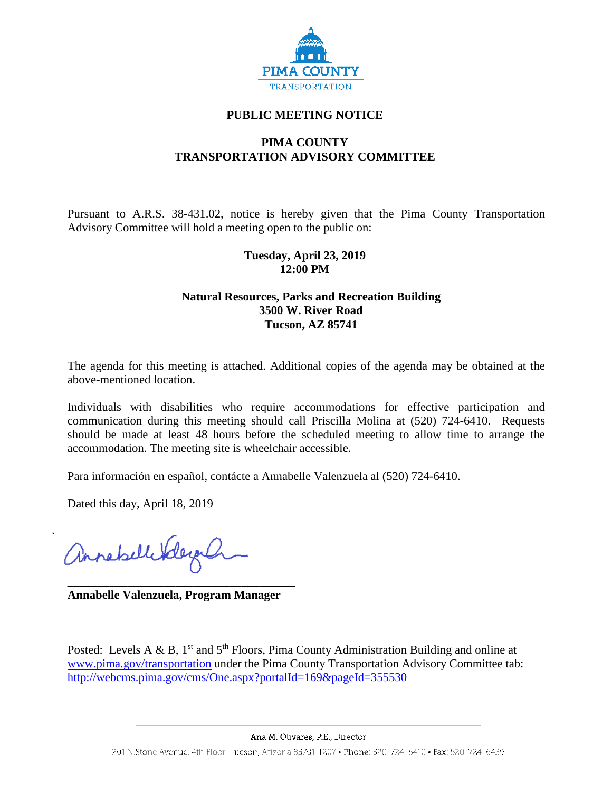

### **PUBLIC MEETING NOTICE**

# **PIMA COUNTY TRANSPORTATION ADVISORY COMMITTEE**

Pursuant to A.R.S. 38-431.02, notice is hereby given that the Pima County Transportation Advisory Committee will hold a meeting open to the public on:

### **Tuesday, April 23, 2019 12:00 PM**

#### **Natural Resources, Parks and Recreation Building 3500 W. River Road Tucson, AZ 85741**

The agenda for this meeting is attached. Additional copies of the agenda may be obtained at the above-mentioned location.

Individuals with disabilities who require accommodations for effective participation and communication during this meeting should call Priscilla Molina at (520) 724-6410. Requests should be made at least 48 hours before the scheduled meeting to allow time to arrange the accommodation. The meeting site is wheelchair accessible.

Para información en español, contácte a Annabelle Valenzuela al (520) 724-6410.

Dated this day, April 18, 2019

annahellerderg

**\_\_\_\_\_\_\_\_\_\_\_\_\_\_\_\_\_\_\_\_\_\_\_\_\_\_\_\_\_\_\_\_\_\_\_\_\_\_ Annabelle Valenzuela, Program Manager**

Posted: Levels A & B,  $1<sup>st</sup>$  and  $5<sup>th</sup>$  Floors, Pima County Administration Building and online at [www.pima.gov/transportation](http://www.pima.gov/transportation) under the Pima County Transportation Advisory Committee tab: <http://webcms.pima.gov/cms/One.aspx?portalId=169&pageId=355530>